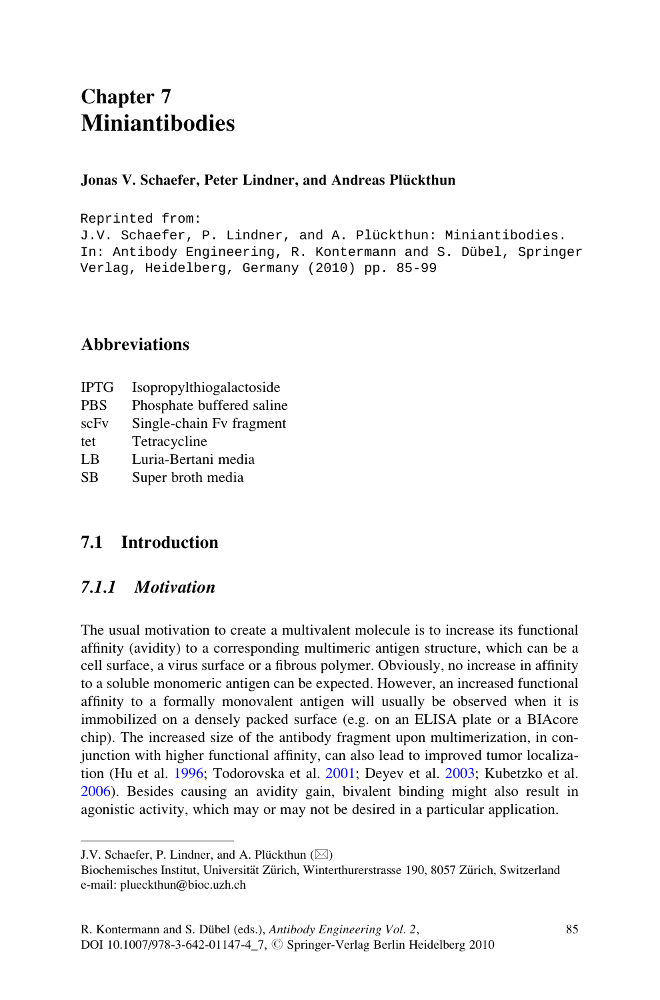# Chapter 7 Miniantibodies

#### Jonas V. Schaefer, Peter Lindner, and Andreas Plückthun

Reprinted from: J.V. Schaefer, P. Lindner, and A. Plückthun: Miniantibodies. In: Antibody Engineering, R. Kontermann and S. Dübel, Springer Verlag, Heidelberg, Germany (2010) pp. 85-99

## Abbreviations

| <b>IPTG</b> | Isopropylthiogalactoside  |
|-------------|---------------------------|
| <b>PBS</b>  | Phosphate buffered saline |
| scFv        | Single-chain Fy fragment  |
| tet         | Tetracycline              |

LB Luria-Bertani media

SB Super broth media

## 7.1 Introduction

#### $711$ **Motivation**

The usual motivation to create a multivalent molecule is to increase its functional affinity (avidity) to a corresponding multimeric antigen structure, which can be a cell surface, a virus surface or a fibrous polymer. Obviously, no increase in affinity to a soluble monomeric antigen can be expected. However, an increased functional affinity to a formally monovalent antigen will usually be observed when it is immobilized on a densely packed surface (e.g. on an ELISA plate or a BIAcore chip). The increased size of the antibody fragment upon multimerization, in conjunction with higher functional affinity, can also lead to improved tumor localization (Hu et al. [1996;](#page-12-0) Todorovska et al. [2001;](#page-14-0) Deyev et al. [2003;](#page-12-0) Kubetzko et al. [2006\)](#page-13-0). Besides causing an avidity gain, bivalent binding might also result in agonistic activity, which may or may not be desired in a particular application.

J.V. Schaefer, P. Lindner, and A. Plückthun  $(\boxtimes)$ 

Biochemisches Institut, Universität Zürich, Winterthurerstrasse 190, 8057 Zürich, Switzerland e-mail: plueckthun@bioc.uzh.ch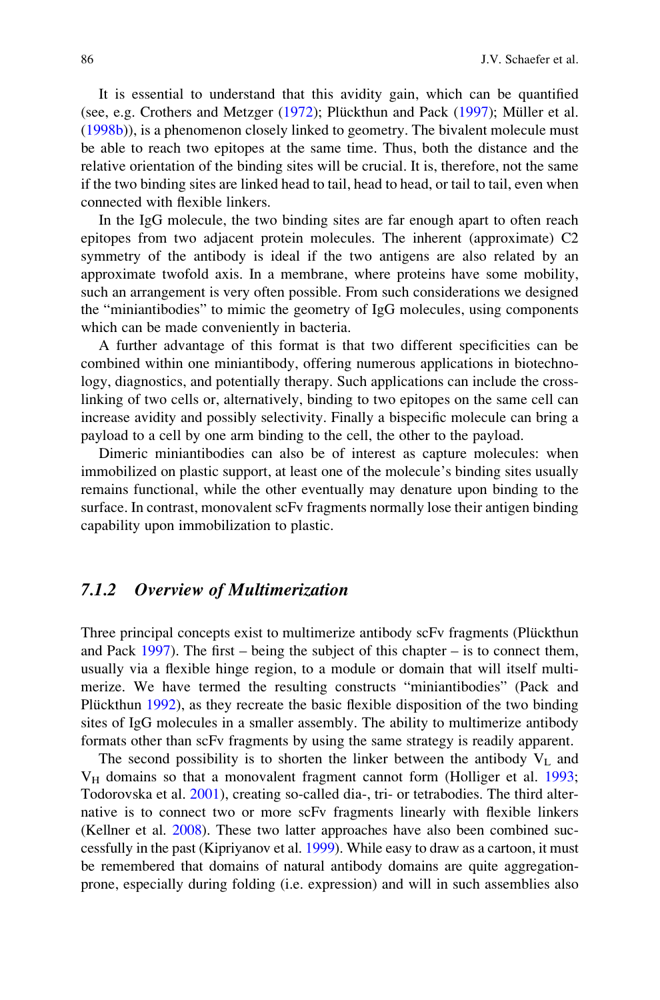It is essential to understand that this avidity gain, which can be quantified (see, e.g. Crothers and Metzger  $(1972)$  $(1972)$ ; Pluckthun and Pack  $(1997)$  $(1997)$ ; Müller et al. [\(1998b](#page-13-0))), is a phenomenon closely linked to geometry. The bivalent molecule must be able to reach two epitopes at the same time. Thus, both the distance and the relative orientation of the binding sites will be crucial. It is, therefore, not the same if the two binding sites are linked head to tail, head to head, or tail to tail, even when connected with flexible linkers.

In the IgG molecule, the two binding sites are far enough apart to often reach epitopes from two adjacent protein molecules. The inherent (approximate) C2 symmetry of the antibody is ideal if the two antigens are also related by an approximate twofold axis. In a membrane, where proteins have some mobility, such an arrangement is very often possible. From such considerations we designed the "miniantibodies" to mimic the geometry of IgG molecules, using components which can be made conveniently in bacteria.

A further advantage of this format is that two different specificities can be combined within one miniantibody, offering numerous applications in biotechnology, diagnostics, and potentially therapy. Such applications can include the crosslinking of two cells or, alternatively, binding to two epitopes on the same cell can increase avidity and possibly selectivity. Finally a bispecific molecule can bring a payload to a cell by one arm binding to the cell, the other to the payload.

Dimeric miniantibodies can also be of interest as capture molecules: when immobilized on plastic support, at least one of the molecule's binding sites usually remains functional, while the other eventually may denature upon binding to the surface. In contrast, monovalent scFv fragments normally lose their antigen binding capability upon immobilization to plastic.

#### 7.1.2  $\overline{y}$  and  $\overline{y}$  over  $\overline{y}$

Three principal concepts exist to multimerize antibody scFv fragments (Pluckthun and Pack [1997\)](#page-14-0). The first – being the subject of this chapter – is to connect them, usually via a flexible hinge region, to a module or domain that will itself multimerize. We have termed the resulting constructs "miniantibodies" (Pack and Pluckthun [1992](#page-13-0)), as they recreate the basic flexible disposition of the two binding sites of IgG molecules in a smaller assembly. The ability to multimerize antibody formats other than scFv fragments by using the same strategy is readily apparent.

The second possibility is to shorten the linker between the antibody  $V_L$  and  $V_H$  domains so that a monovalent fragment cannot form (Holliger et al. [1993;](#page-12-0) Todorovska et al. [2001](#page-14-0)), creating so-called dia-, tri- or tetrabodies. The third alternative is to connect two or more scFv fragments linearly with flexible linkers (Kellner et al. [2008](#page-13-0)). These two latter approaches have also been combined successfully in the past (Kipriyanov et al. [1999\)](#page-13-0). While easy to draw as a cartoon, it must be remembered that domains of natural antibody domains are quite aggregationprone, especially during folding (i.e. expression) and will in such assemblies also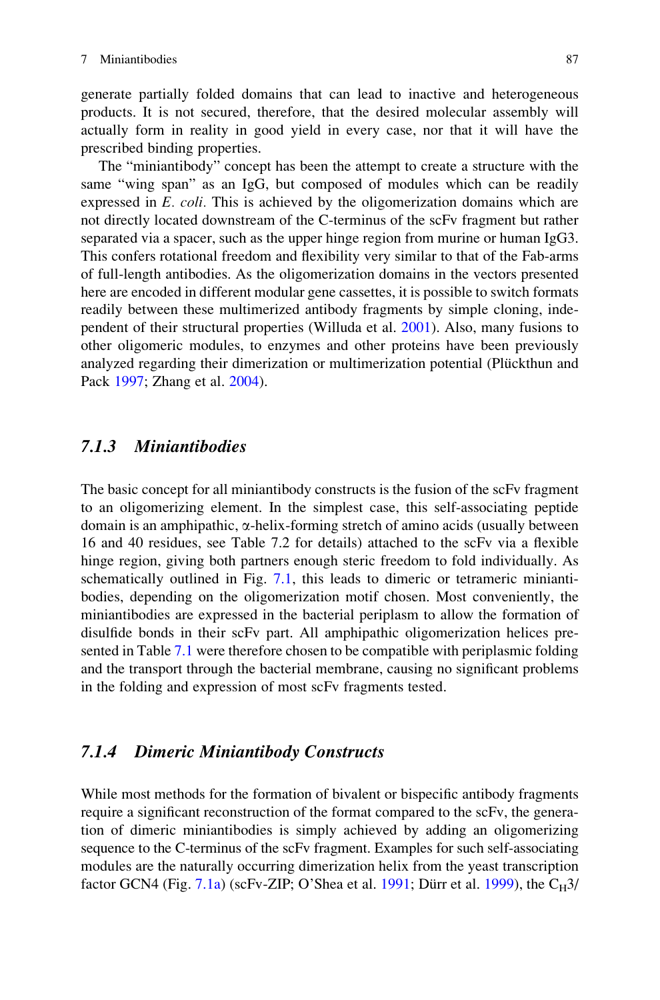generate partially folded domains that can lead to inactive and heterogeneous products. It is not secured, therefore, that the desired molecular assembly will actually form in reality in good yield in every case, nor that it will have the prescribed binding properties.

The "miniantibody" concept has been the attempt to create a structure with the same "wing span" as an IgG, but composed of modules which can be readily expressed in E. coli. This is achieved by the oligomerization domains which are not directly located downstream of the C-terminus of the scFv fragment but rather separated via a spacer, such as the upper hinge region from murine or human IgG3. This confers rotational freedom and flexibility very similar to that of the Fab-arms of full-length antibodies. As the oligomerization domains in the vectors presented here are encoded in different modular gene cassettes, it is possible to switch formats readily between these multimerized antibody fragments by simple cloning, independent of their structural properties (Willuda et al. [2001](#page-14-0)). Also, many fusions to other oligomeric modules, to enzymes and other proteins have been previously analyzed regarding their dimerization or multimerization potential (Plückthun and Pack [1997](#page-14-0); Zhang et al. [2004\)](#page-14-0).

#### $7.1.3$ **Miniantibodies**

The basic concept for all miniantibody constructs is the fusion of the scFv fragment to an oligomerizing element. In the simplest case, this self-associating peptide domain is an amphipathic,  $\alpha$ -helix-forming stretch of amino acids (usually between 16 and 40 residues, see Table 7.2 for details) attached to the scFv via a flexible hinge region, giving both partners enough steric freedom to fold individually. As schematically outlined in Fig. [7.1,](#page-3-0) this leads to dimeric or tetrameric miniantibodies, depending on the oligomerization motif chosen. Most conveniently, the miniantibodies are expressed in the bacterial periplasm to allow the formation of disulfide bonds in their scFv part. All amphipathic oligomerization helices presented in Table [7.1](#page-4-0) were therefore chosen to be compatible with periplasmic folding and the transport through the bacterial membrane, causing no significant problems in the folding and expression of most scFv fragments tested.

#### $7.1.4$  $\overline{1}$ .

While most methods for the formation of bivalent or bispecific antibody fragments require a significant reconstruction of the format compared to the scFv, the generation of dimeric miniantibodies is simply achieved by adding an oligomerizing sequence to the C-terminus of the scFv fragment. Examples for such self-associating modules are the naturally occurring dimerization helix from the yeast transcription factor GCN4 (Fig. [7.1a](#page-3-0)) (scFv-ZIP; O'Shea et al. [1991](#page-13-0); Dürr et al. [1999](#page-12-0)), the  $C_H$ 3/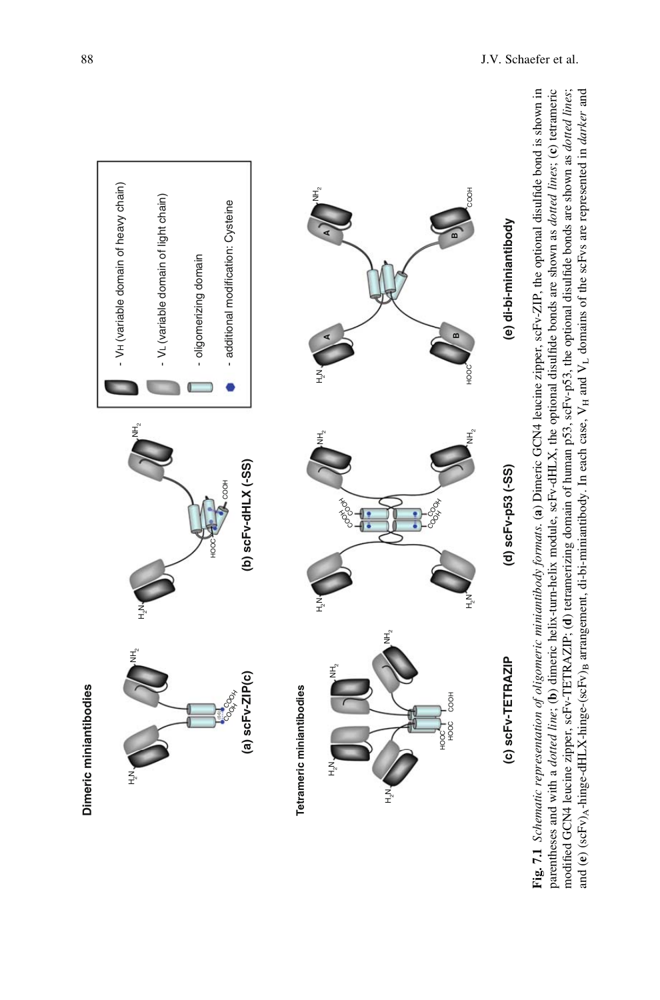<span id="page-3-0"></span>

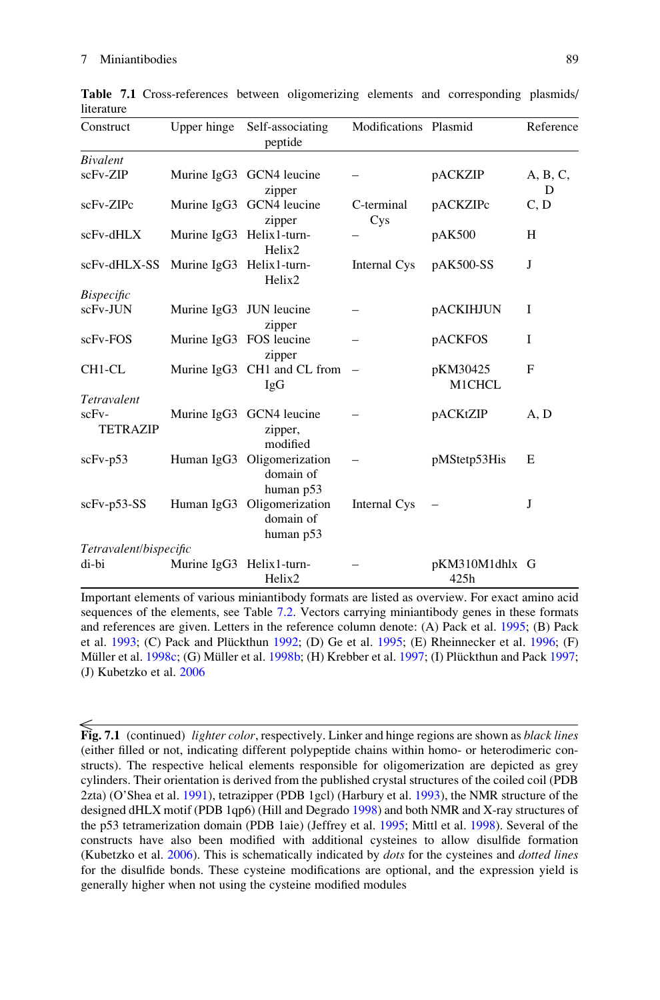| Construct                  | Upper hinge              | Self-associating<br>peptide                          | Modifications Plasmid    |                           | Reference     |
|----------------------------|--------------------------|------------------------------------------------------|--------------------------|---------------------------|---------------|
| <b>B</b> ivalent           |                          |                                                      |                          |                           |               |
| scFv-ZIP                   |                          | Murine IgG3 GCN4 leucine<br>zipper                   |                          | pACKZIP                   | A, B, C,<br>D |
| scFv-ZIPc                  |                          | Murine IgG3 GCN4 leucine<br>zipper                   | C-terminal<br>Cys        | pACKZIPc                  | C, D          |
| scFv-dHLX                  | Murine IgG3 Helix1-turn- | Helix2                                               |                          | pAK500                    | H             |
| scFv-dHLX-SS               | Murine IgG3 Helix1-turn- | Helix2                                               | Internal Cys             | pAK500-SS                 | J             |
| <b>Bispecific</b>          |                          |                                                      |                          |                           |               |
| scFv-JUN                   | Murine IgG3 JUN leucine  | zipper                                               |                          | pACKIHJUN                 | I             |
| scFv-FOS                   | Murine IgG3 FOS leucine  | zipper                                               |                          | <b>pACKFOS</b>            | Ι             |
| CH1-CL                     |                          | Murine IgG3 CH1 and CL from<br>IgG                   | $\overline{\phantom{a}}$ | pKM30425<br><b>M1CHCL</b> | F             |
| Tetravalent                |                          |                                                      |                          |                           |               |
| $scFv-$<br><b>TETRAZIP</b> |                          | Murine IgG3 GCN4 leucine<br>zipper,<br>modified      |                          | pACKtZIP                  | A, D          |
| $scFv-p53$                 |                          | Human IgG3 Oligomerization<br>domain of<br>human p53 |                          | pMStetp53His              | E             |
| scFv-p53-SS                |                          | Human IgG3 Oligomerization<br>domain of<br>human p53 | Internal Cys             |                           | J             |
| Tetravalent/bispecific     |                          |                                                      |                          |                           |               |
| di-bi                      | Murine IgG3 Helix1-turn- | Helix2                                               |                          | pKM310M1dhlx G<br>425h    |               |

<span id="page-4-0"></span>Table 7.1 Cross-references between oligomerizing elements and corresponding plasmids/ literature

Important elements of various miniantibody formats are listed as overview. For exact amino acid sequences of the elements, see Table [7.2](#page-6-0). Vectors carrying miniantibody genes in these formats and references are given. Letters in the reference column denote: (A) Pack et al. [1995](#page-14-0); (B) Pack et al. [1993;](#page-14-0) (C) Pack and Plückthun [1992;](#page-13-0) (D) Ge et al. [1995](#page-12-0); (E) Rheinnecker et al. [1996;](#page-14-0) (F) Müller et al. [1998c;](#page-13-0) (G) Müller et al. [1998b](#page-13-0); (H) Krebber et al. [1997;](#page-13-0) (I) Plückthun and Pack [1997](#page-14-0); (J) Kubetzko et al. [2006](#page-13-0)

**Fig. 7.1** (continued) *lighter color*, respectively. Linker and hinge regions are shown as *black lines* (either filled or not, indicating different polypeptide chains within homo- or heterodimeric constructs). The respective helical elements responsible for oligomerization are depicted as grey cylinders. Their orientation is derived from the published crystal structures of the coiled coil (PDB 2zta) (O'Shea et al. [1991\)](#page-13-0), tetrazipper (PDB 1gcl) (Harbury et al. [1993](#page-12-0)), the NMR structure of the designed dHLX motif (PDB 1qp6) (Hill and Degrado [1998](#page-12-0)) and both NMR and X-ray structures of the p53 tetramerization domain (PDB 1aie) (Jeffrey et al. [1995;](#page-12-0) Mittl et al. [1998](#page-13-0)). Several of the constructs have also been modified with additional cysteines to allow disulfide formation (Kubetzko et al. [2006](#page-13-0)). This is schematically indicated by *dots* for the cysteines and *dotted lines* for the disulfide bonds. These cysteine modifications are optional, and the expression yield is generally higher when not using the cysteine modified modules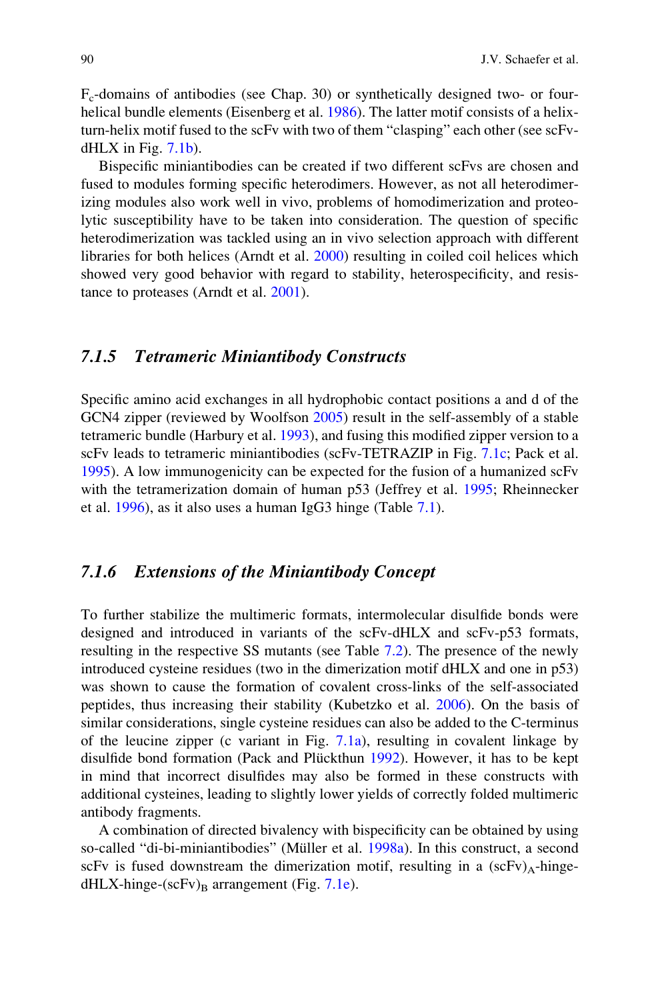$F_c$ -domains of antibodies (see Chap. 30) or synthetically designed two- or fourhelical bundle elements (Eisenberg et al. [1986\)](#page-12-0). The latter motif consists of a helixturn-helix motif fused to the scFv with two of them "clasping" each other (see scFv $dH LX$  in Fig.  $7.1<sub>b</sub>$ .

Bispecific miniantibodies can be created if two different scFvs are chosen and fused to modules forming specific heterodimers. However, as not all heterodimerizing modules also work well in vivo, problems of homodimerization and proteolytic susceptibility have to be taken into consideration. The question of specific heterodimerization was tackled using an in vivo selection approach with different libraries for both helices (Arndt et al. [2000](#page-12-0)) resulting in coiled coil helices which showed very good behavior with regard to stability, heterospecificity, and resistance to proteases (Arndt et al. [2001](#page-12-0)).

#### $7.1.5$ **Tetrameric Miniantibody Constructs**  $\mathcal{I}$

Specific amino acid exchanges in all hydrophobic contact positions a and d of the GCN4 zipper (reviewed by Woolfson [2005\)](#page-14-0) result in the self-assembly of a stable tetrameric bundle (Harbury et al. [1993](#page-12-0)), and fusing this modified zipper version to a scFv leads to tetrameric miniantibodies (scFv-TETRAZIP in Fig. [7.1c;](#page-3-0) Pack et al. [1995\)](#page-14-0). A low immunogenicity can be expected for the fusion of a humanized scFv with the tetramerization domain of human p53 (Jeffrey et al. [1995;](#page-12-0) Rheinnecker et al. [1996](#page-14-0)), as it also uses a human IgG3 hinge (Table [7.1](#page-4-0)).

### 7.1.6 Extensions of the Miniantibody Concept

To further stabilize the multimeric formats, intermolecular disulfide bonds were designed and introduced in variants of the scFv-dHLX and scFv-p53 formats, resulting in the respective SS mutants (see Table [7.2\)](#page-6-0). The presence of the newly introduced cysteine residues (two in the dimerization motif dHLX and one in p53) was shown to cause the formation of covalent cross-links of the self-associated peptides, thus increasing their stability (Kubetzko et al. [2006\)](#page-13-0). On the basis of similar considerations, single cysteine residues can also be added to the C-terminus of the leucine zipper (c variant in Fig.  $7.1a$ ), resulting in covalent linkage by disulfide bond formation (Pack and Plückthun [1992](#page-13-0)). However, it has to be kept in mind that incorrect disulfides may also be formed in these constructs with additional cysteines, leading to slightly lower yields of correctly folded multimeric antibody fragments.

A combination of directed bivalency with bispecificity can be obtained by using so-called "di-bi-miniantibodies" (Müller et al. [1998a](#page-13-0)). In this construct, a second scFv is fused downstream the dimerization motif, resulting in a  $(scFv)_{A}$ -hinge $dH LX$ -hinge-(scFv)<sub>B</sub> arrangement (Fig. [7.1e](#page-3-0)).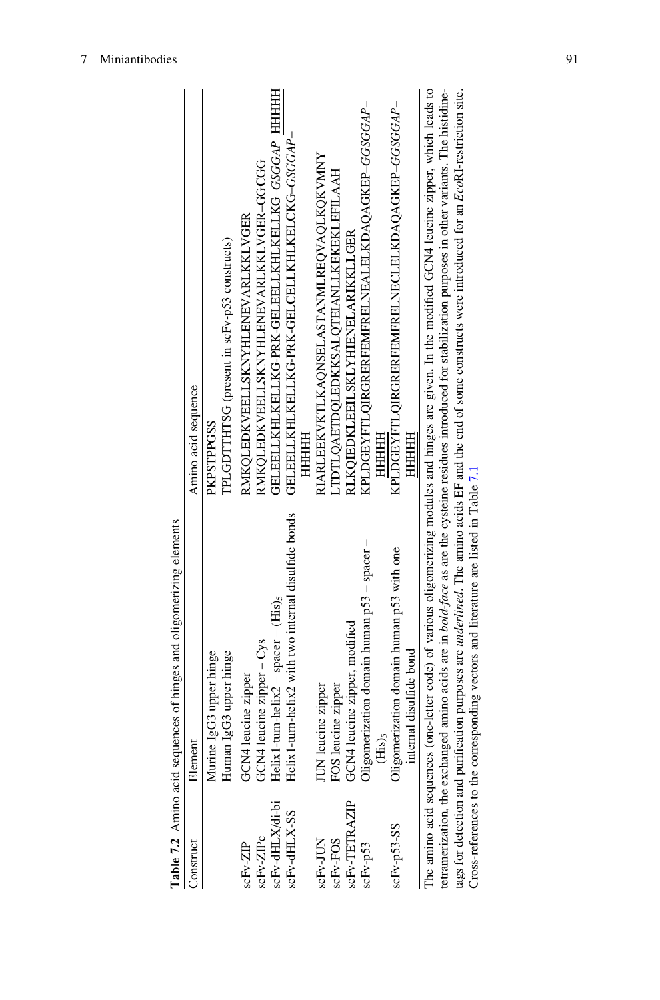<span id="page-6-0"></span>

|                                          | Table 7.2 Amino acid sequences of hinges and oligomerizing elements                                      |                                                                                                                                                                                                                                                                                                                                                                                                                                                                                                          |
|------------------------------------------|----------------------------------------------------------------------------------------------------------|----------------------------------------------------------------------------------------------------------------------------------------------------------------------------------------------------------------------------------------------------------------------------------------------------------------------------------------------------------------------------------------------------------------------------------------------------------------------------------------------------------|
| Construct                                | Element                                                                                                  | Amino acid sequence                                                                                                                                                                                                                                                                                                                                                                                                                                                                                      |
|                                          | Murine IgG3 upper hinge<br>Human IgG3 upper hinge                                                        | TPLGDTTHTSG (present in scFv-p53 constructs)<br>PKPSTPPGSS                                                                                                                                                                                                                                                                                                                                                                                                                                               |
| scFv-dHLX/di-bi<br>scFv-ZIPc<br>scFv-ZIP | $Helix 1-turn-helix 2 - spacer - (His)5$<br>GCN4 leucine zipper - Cys<br>GCN4 leucine zipper             | GELEELLKHLKELLKG-PRK-GELEELLKHLKELLKG- <i>GSGGAP</i> -HHHHH<br>RMKQLEDKVEELLSKNYHLENEVARLKKLVGER-GGCGG<br>RMKOLEDKVEELLSKNYHLENEVARLKKLVGER                                                                                                                                                                                                                                                                                                                                                              |
| scFv-dHLX-SS                             | Helix1-turn-helix2 with two internal disulfide bonds                                                     | GELEELLKHLKELLKG-PRK-GELCELLKHLKELCKG-GSGGAP-<br>HHHHH                                                                                                                                                                                                                                                                                                                                                                                                                                                   |
| scFv-FOS<br>scFv-JUN                     | <b>UN</b> leucine zipper                                                                                 | RIARLEEKVKTLKAQNSELASTANMLREQVAQLKQKVMNY<br>LTDTLOAETDOLEDKKSALOTEIANLLKEKEKLEFILAAH                                                                                                                                                                                                                                                                                                                                                                                                                     |
| scFv-TETRAZIP<br>scFv-p53                | $O$ ligomerization domain human p $53$ – spacer –<br>FOS leucine zipper<br>GCN4 leucine zipper, modified | KPLDGEYFTLQIRGRERFEMFRELNEALELKDAQAGKEP-GGSGGAP-<br>RLKQIEDKLEEILSKLYHIENELARIKKLLGER                                                                                                                                                                                                                                                                                                                                                                                                                    |
| scFv-p53-SS                              | Oligomerization domain human p53 with one<br>internal disulfide bond<br>$(His)$ <sub>5</sub>             | KPLDGEYFTLQIRGRERFEMFRELNECLELKDAQAGKEP-GGSGGAP-<br><b>THEIRE</b><br>HHHH                                                                                                                                                                                                                                                                                                                                                                                                                                |
|                                          | Cross-references to the corresponding vectors and literature are listed in Table 7.1                     | The amino acid sequences (one-letter code) of various oligomerizing modules and hinges are given. In the modified GCN4 leucine zipper, which leads to<br>etramerization, the exchanged amino acids are in <i>bold-face</i> as are the cysteine residues introduced for stabilization purposes in other variants. The histidine-<br>tags for detection and purification purposes are <i>underlined</i> . The amino acids EF and the end of some constructs were introduced for an EcoRI-restriction site. |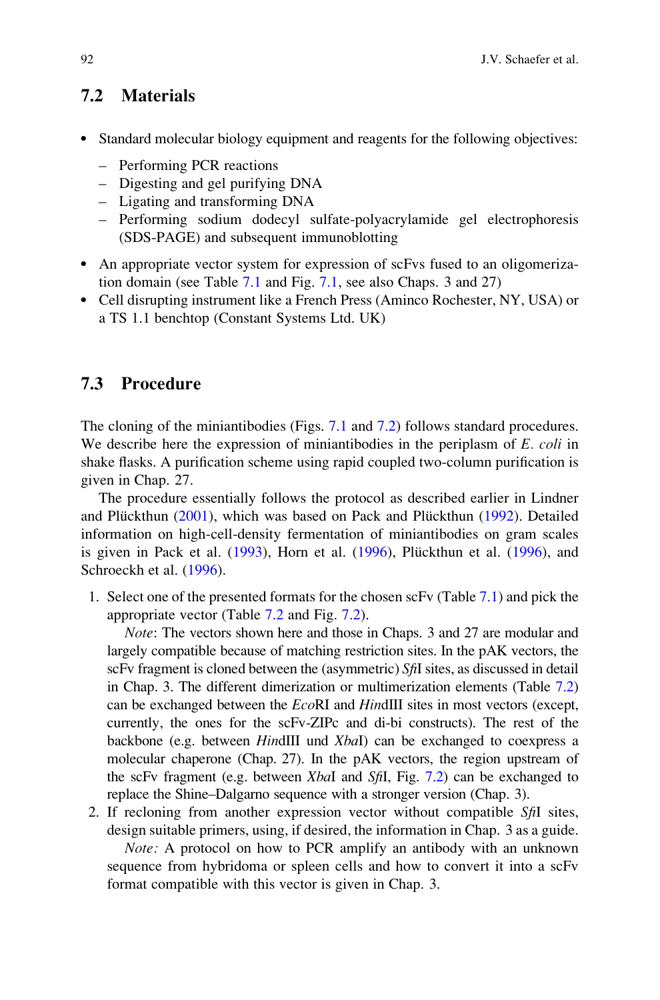### 7.2 Materials

- Standard molecular biology equipment and reagents for the following objectives:
	- Performing PCR reactions
	- Digesting and gel purifying DNA
	- Ligating and transforming DNA
	- Performing sodium dodecyl sulfate-polyacrylamide gel electrophoresis (SDS-PAGE) and subsequent immunoblotting
- An appropriate vector system for expression of scFvs fused to an oligomerization domain (see Table [7.1](#page-4-0) and Fig. [7.1](#page-3-0), see also Chaps. 3 and 27)
- Cell disrupting instrument like a French Press (Aminco Rochester, NY, USA) or a TS 1.1 benchtop (Constant Systems Ltd. UK)

### 7.3 Procedure

The cloning of the miniantibodies (Figs. [7.1](#page-3-0) and [7.2\)](#page-8-0) follows standard procedures. We describe here the expression of miniantibodies in the periplasm of E. coli in shake flasks. A purification scheme using rapid coupled two-column purification is given in Chap. 27.

The procedure essentially follows the protocol as described earlier in Lindner and Plückthun  $(2001)$  $(2001)$ , which was based on Pack and Plückthun  $(1992)$  $(1992)$ . Detailed information on high-cell-density fermentation of miniantibodies on gram scales is given in Pack et al.  $(1993)$  $(1993)$ , Horn et al.  $(1996)$  $(1996)$ , Plückthun et al.  $(1996)$ , and Schroeckh et al. ([1996\)](#page-14-0).

1. Select one of the presented formats for the chosen scFv (Table [7.1\)](#page-4-0) and pick the appropriate vector (Table [7.2](#page-6-0) and Fig. [7.2](#page-8-0)).

Note: The vectors shown here and those in Chaps. 3 and 27 are modular and largely compatible because of matching restriction sites. In the pAK vectors, the scFv fragment is cloned between the (asymmetric) SfiI sites, as discussed in detail in Chap. 3. The different dimerization or multimerization elements (Table [7.2](#page-6-0)) can be exchanged between the EcoRI and HindIII sites in most vectors (except, currently, the ones for the scFv-ZIPc and di-bi constructs). The rest of the backbone (e.g. between HindIII und XbaI) can be exchanged to coexpress a molecular chaperone (Chap. 27). In the pAK vectors, the region upstream of the scFv fragment (e.g. between XbaI and SfiI, Fig. [7.2](#page-8-0)) can be exchanged to replace the Shine–Dalgarno sequence with a stronger version (Chap. 3).

2. If recloning from another expression vector without compatible SfiI sites, design suitable primers, using, if desired, the information in Chap. 3 as a guide.

Note: A protocol on how to PCR amplify an antibody with an unknown sequence from hybridoma or spleen cells and how to convert it into a scFv format compatible with this vector is given in Chap. 3.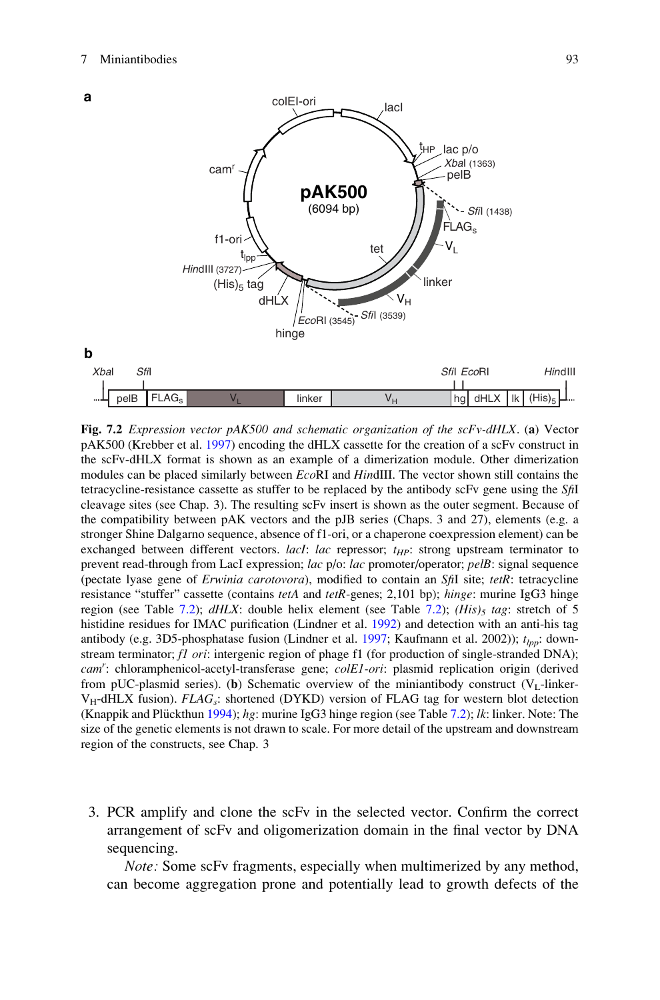<span id="page-8-0"></span>

Fig. 7.2 Expression vector pAK500 and schematic organization of the scFv-dHLX. (a) Vector pAK500 (Krebber et al. [1997\)](#page-13-0) encoding the dHLX cassette for the creation of a scFv construct in the scFv-dHLX format is shown as an example of a dimerization module. Other dimerization modules can be placed similarly between EcoRI and HindIII. The vector shown still contains the tetracycline-resistance cassette as stuffer to be replaced by the antibody scFv gene using the  $Sf_1I$ cleavage sites (see Chap. 3). The resulting scFv insert is shown as the outer segment. Because of the compatibility between pAK vectors and the pJB series (Chaps. 3 and 27), elements (e.g. a stronger Shine Dalgarno sequence, absence of f1-ori, or a chaperone coexpression element) can be exchanged between different vectors. *lacI*: *lac* repressor;  $t_{HP}$ : strong upstream terminator to prevent read-through from LacI expression; lac p/o: lac promoter/operator; pelB: signal sequence (pectate lyase gene of *Erwinia carotovora*), modified to contain an *Sfil* site; *tetR*: tetracycline resistance "stuffer" cassette (contains tetA and tetR-genes; 2,101 bp); hinge: murine IgG3 hinge region (see Table [7.2](#page-6-0));  $dH L X$ : double helix element (see Table 7.2);  $(His)$ , tag: stretch of 5 histidine residues for IMAC purification (Lindner et al. [1992](#page-13-0)) and detection with an anti-his tag antibody (e.g. 3D5-phosphatase fusion (Lindner et al. [1997;](#page-13-0) Kaufmann et al. 2002));  $t_{lpp}$ : downstream terminator; fl ori: intergenic region of phage fl (for production of single-stranded DNA); cam': chloramphenicol-acetyl-transferase gene; colE1-ori: plasmid replication origin (derived from pUC-plasmid series). (b) Schematic overview of the miniantibody construct  $(V_L$ -linker- $V_H$ -dHLX fusion). FLAG<sub>s</sub>: shortened (DYKD) version of FLAG tag for western blot detection (Knappik and Plückthun [1994\)](#page-13-0);  $hg$ : murine IgG3 hinge region (see Table [7.2\)](#page-6-0); lk: linker. Note: The size of the genetic elements is not drawn to scale. For more detail of the upstream and downstream region of the constructs, see Chap. 3

3. PCR amplify and clone the scFv in the selected vector. Confirm the correct arrangement of scFv and oligomerization domain in the final vector by DNA sequencing.

Note: Some scFv fragments, especially when multimerized by any method, can become aggregation prone and potentially lead to growth defects of the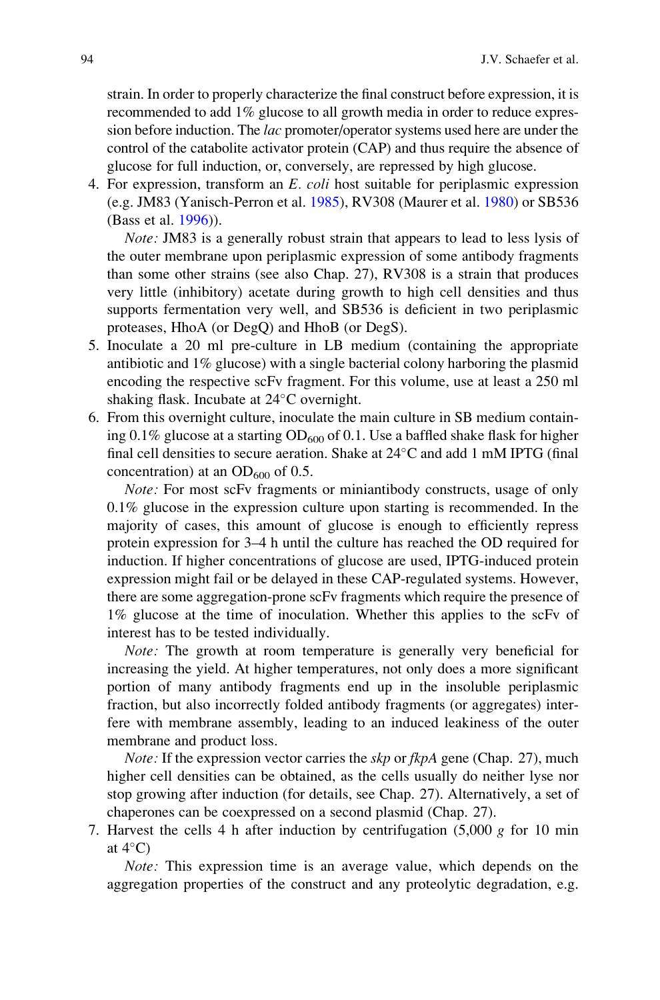strain. In order to properly characterize the final construct before expression, it is recommended to add 1% glucose to all growth media in order to reduce expression before induction. The lac promoter/operator systems used here are under the control of the catabolite activator protein (CAP) and thus require the absence of glucose for full induction, or, conversely, are repressed by high glucose.

4. For expression, transform an E. coli host suitable for periplasmic expression (e.g. JM83 (Yanisch-Perron et al. [1985](#page-14-0)), RV308 (Maurer et al. [1980](#page-13-0)) or SB536 (Bass et al. [1996\)](#page-12-0)).

Note: JM83 is a generally robust strain that appears to lead to less lysis of the outer membrane upon periplasmic expression of some antibody fragments than some other strains (see also Chap. 27), RV308 is a strain that produces very little (inhibitory) acetate during growth to high cell densities and thus supports fermentation very well, and SB536 is deficient in two periplasmic proteases, HhoA (or DegQ) and HhoB (or DegS).

- 5. Inoculate a 20 ml pre-culture in LB medium (containing the appropriate antibiotic and 1% glucose) with a single bacterial colony harboring the plasmid encoding the respective scFv fragment. For this volume, use at least a 250 ml shaking flask. Incubate at  $24^{\circ}$ C overnight.
- 6. From this overnight culture, inoculate the main culture in SB medium containing 0.1% glucose at a starting  $OD_{600}$  of 0.1. Use a baffled shake flask for higher final cell densities to secure aeration. Shake at  $24^{\circ}$ C and add 1 mM IPTG (final concentration) at an  $OD_{600}$  of 0.5.

Note: For most scFv fragments or miniantibody constructs, usage of only 0.1% glucose in the expression culture upon starting is recommended. In the majority of cases, this amount of glucose is enough to efficiently repress protein expression for 3–4 h until the culture has reached the OD required for induction. If higher concentrations of glucose are used, IPTG-induced protein expression might fail or be delayed in these CAP-regulated systems. However, there are some aggregation-prone scFv fragments which require the presence of 1% glucose at the time of inoculation. Whether this applies to the scFv of interest has to be tested individually.

Note: The growth at room temperature is generally very beneficial for increasing the yield. At higher temperatures, not only does a more significant portion of many antibody fragments end up in the insoluble periplasmic fraction, but also incorrectly folded antibody fragments (or aggregates) interfere with membrane assembly, leading to an induced leakiness of the outer membrane and product loss.

Note: If the expression vector carries the *skp* or *fkpA* gene (Chap. 27), much higher cell densities can be obtained, as the cells usually do neither lyse nor stop growing after induction (for details, see Chap. 27). Alternatively, a set of chaperones can be coexpressed on a second plasmid (Chap. 27).

7. Harvest the cells 4 h after induction by centrifugation  $(5,000 g$  for 10 min at  $4^{\circ}$ C)

Note: This expression time is an average value, which depends on the aggregation properties of the construct and any proteolytic degradation, e.g.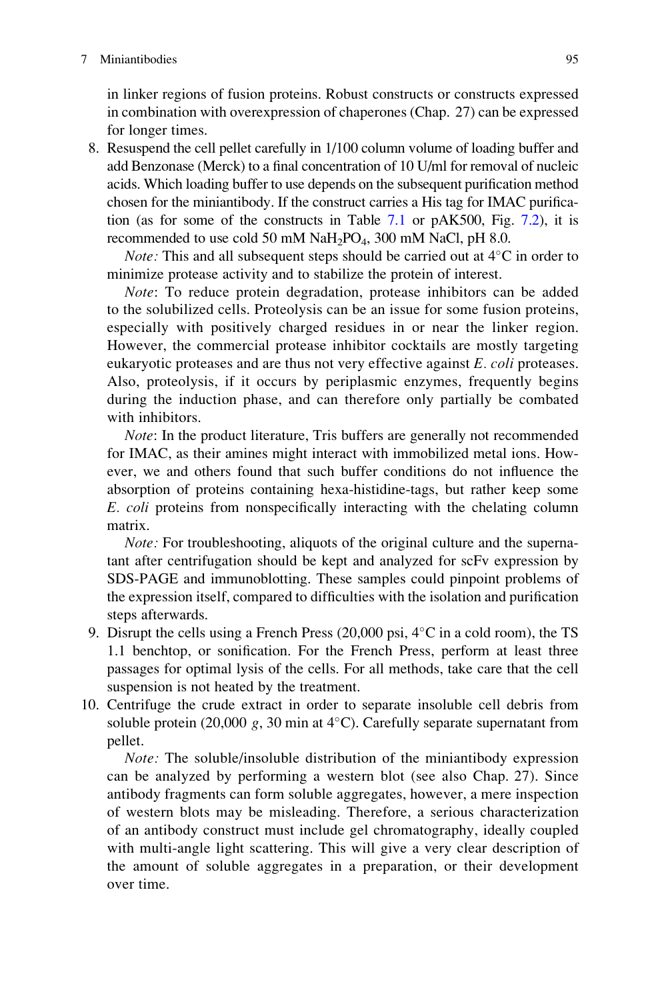in linker regions of fusion proteins. Robust constructs or constructs expressed in combination with overexpression of chaperones (Chap. 27) can be expressed for longer times.

8. Resuspend the cell pellet carefully in 1/100 column volume of loading buffer and add Benzonase (Merck) to a final concentration of 10 U/ml for removal of nucleic acids. Which loading buffer to use depends on the subsequent purification method chosen for the miniantibody. If the construct carries a His tag for IMAC purification (as for some of the constructs in Table [7.1](#page-4-0) or pAK500, Fig. [7.2](#page-8-0)), it is recommended to use cold 50 mM NaH<sub>2</sub>PO<sub>4</sub>, 300 mM NaCl, pH 8.0.

*Note:* This and all subsequent steps should be carried out at  $4^{\circ}$ C in order to minimize protease activity and to stabilize the protein of interest.

Note: To reduce protein degradation, protease inhibitors can be added to the solubilized cells. Proteolysis can be an issue for some fusion proteins, especially with positively charged residues in or near the linker region. However, the commercial protease inhibitor cocktails are mostly targeting eukaryotic proteases and are thus not very effective against E. coli proteases. Also, proteolysis, if it occurs by periplasmic enzymes, frequently begins during the induction phase, and can therefore only partially be combated with inhibitors.

Note: In the product literature, Tris buffers are generally not recommended for IMAC, as their amines might interact with immobilized metal ions. However, we and others found that such buffer conditions do not influence the absorption of proteins containing hexa-histidine-tags, but rather keep some E. coli proteins from nonspecifically interacting with the chelating column matrix.

Note: For troubleshooting, aliquots of the original culture and the supernatant after centrifugation should be kept and analyzed for scFv expression by SDS-PAGE and immunoblotting. These samples could pinpoint problems of the expression itself, compared to difficulties with the isolation and purification steps afterwards.

- 9. Disrupt the cells using a French Press (20,000 psi,  $4^{\circ}$ C in a cold room), the TS 1.1 benchtop, or sonification. For the French Press, perform at least three passages for optimal lysis of the cells. For all methods, take care that the cell suspension is not heated by the treatment.
- 10. Centrifuge the crude extract in order to separate insoluble cell debris from soluble protein (20,000 g, 30 min at  $4^{\circ}$ C). Carefully separate supernatant from pellet.

Note: The soluble/insoluble distribution of the miniantibody expression can be analyzed by performing a western blot (see also Chap. 27). Since antibody fragments can form soluble aggregates, however, a mere inspection of western blots may be misleading. Therefore, a serious characterization of an antibody construct must include gel chromatography, ideally coupled with multi-angle light scattering. This will give a very clear description of the amount of soluble aggregates in a preparation, or their development over time.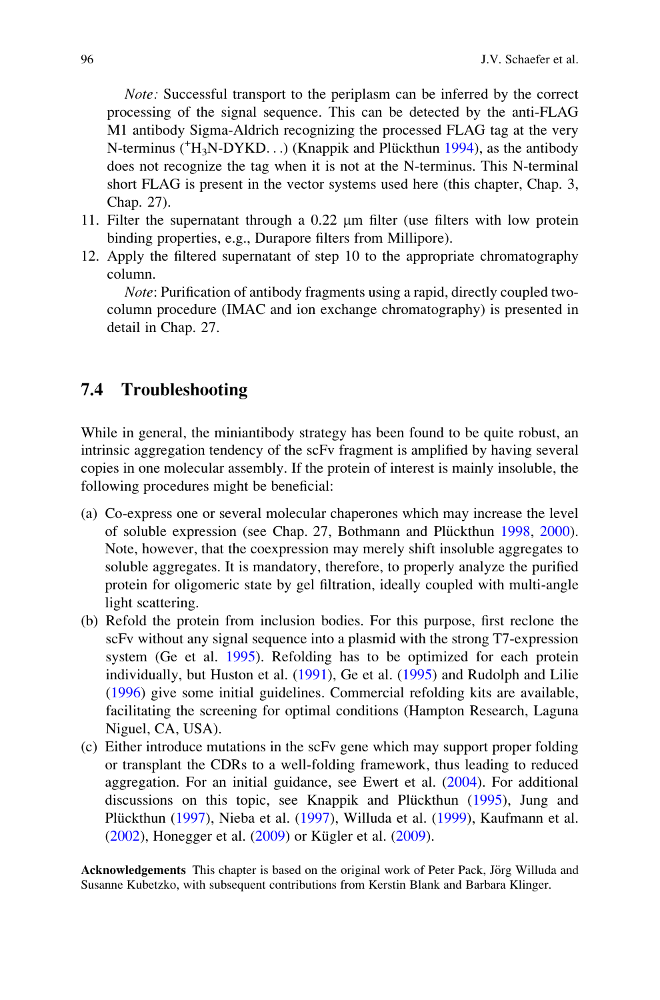Note: Successful transport to the periplasm can be inferred by the correct processing of the signal sequence. This can be detected by the anti-FLAG M1 antibody Sigma-Aldrich recognizing the processed FLAG tag at the very N-terminus (<sup>+</sup>H<sub>3</sub>N-DYKD...) (Knappik and Plückthun [1994\)](#page-13-0), as the antibody does not recognize the tag when it is not at the N-terminus. This N-terminal short FLAG is present in the vector systems used here (this chapter, Chap. 3, Chap. 27).

- 11. Filter the supernatant through a  $0.22 \mu m$  filter (use filters with low protein binding properties, e.g., Durapore filters from Millipore).
- 12. Apply the filtered supernatant of step 10 to the appropriate chromatography column.

Note: Purification of antibody fragments using a rapid, directly coupled twocolumn procedure (IMAC and ion exchange chromatography) is presented in detail in Chap. 27.

### 7.4 Troubleshooting

While in general, the miniantibody strategy has been found to be quite robust, an intrinsic aggregation tendency of the scFv fragment is amplified by having several copies in one molecular assembly. If the protein of interest is mainly insoluble, the following procedures might be beneficial:

- (a) Co-express one or several molecular chaperones which may increase the level of soluble expression (see Chap. 27, Bothmann and Plückthun [1998](#page-12-0), [2000\)](#page-12-0). Note, however, that the coexpression may merely shift insoluble aggregates to soluble aggregates. It is mandatory, therefore, to properly analyze the purified protein for oligomeric state by gel filtration, ideally coupled with multi-angle light scattering.
- (b) Refold the protein from inclusion bodies. For this purpose, first reclone the scFv without any signal sequence into a plasmid with the strong T7-expression system (Ge et al. [1995](#page-12-0)). Refolding has to be optimized for each protein individually, but Huston et al. [\(1991](#page-12-0)), Ge et al. ([1995\)](#page-12-0) and Rudolph and Lilie ([1996\)](#page-14-0) give some initial guidelines. Commercial refolding kits are available, facilitating the screening for optimal conditions (Hampton Research, Laguna Niguel, CA, USA).
- (c) Either introduce mutations in the scFv gene which may support proper folding or transplant the CDRs to a well-folding framework, thus leading to reduced aggregation. For an initial guidance, see Ewert et al. ([2004\)](#page-12-0). For additional discussions on this topic, see Knappik and Plückthun  $(1995)$  $(1995)$ , Jung and Plückthun ([1997\)](#page-13-0), Nieba et al. (1997), Willuda et al. ([1999\)](#page-14-0), Kaufmann et al. [\(2002](#page-13-0)), Honegger et al. [\(2009\)](#page-12-0) or Kügler et al. ([2009\)](#page-13-0).

Acknowledgements This chapter is based on the original work of Peter Pack, Jörg Willuda and Susanne Kubetzko, with subsequent contributions from Kerstin Blank and Barbara Klinger.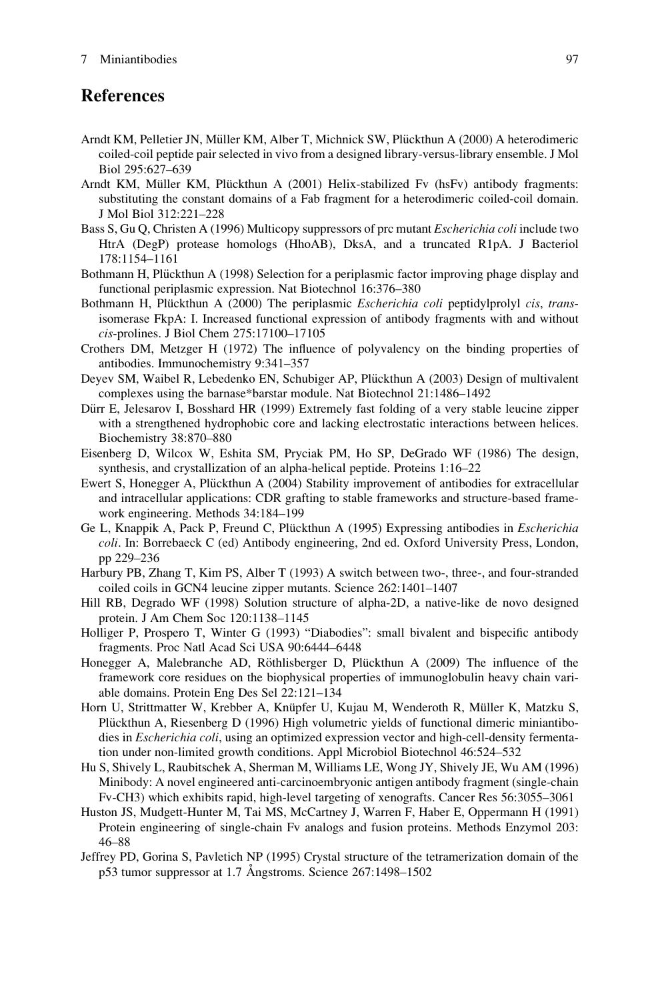## <span id="page-12-0"></span>References

- Arndt KM, Pelletier JN, Müller KM, Alber T, Michnick SW, Plückthun A (2000) A heterodimeric coiled-coil peptide pair selected in vivo from a designed library-versus-library ensemble. J Mol Biol 295:627–639
- Arndt KM, Müller KM, Plückthun A (2001) Helix-stabilized Fv (hsFv) antibody fragments: substituting the constant domains of a Fab fragment for a heterodimeric coiled-coil domain. J Mol Biol 312:221–228
- Bass S, Gu Q, Christen A (1996) Multicopy suppressors of prc mutant Escherichia coli include two HtrA (DegP) protease homologs (HhoAB), DksA, and a truncated R1pA. J Bacteriol 178:1154–1161
- Bothmann H, Plückthun A (1998) Selection for a periplasmic factor improving phage display and functional periplasmic expression. Nat Biotechnol 16:376–380
- Bothmann H, Plückthun A (2000) The periplasmic *Escherichia coli* peptidylprolyl cis, transisomerase FkpA: I. Increased functional expression of antibody fragments with and without cis-prolines. J Biol Chem 275:17100–17105
- Crothers DM, Metzger H (1972) The influence of polyvalency on the binding properties of antibodies. Immunochemistry 9:341–357
- Deyev SM, Waibel R, Lebedenko EN, Schubiger AP, Plückthun A (2003) Design of multivalent complexes using the barnase\*barstar module. Nat Biotechnol 21:1486–1492
- Dürr E, Jelesarov I, Bosshard HR (1999) Extremely fast folding of a very stable leucine zipper with a strengthened hydrophobic core and lacking electrostatic interactions between helices. Biochemistry 38:870–880
- Eisenberg D, Wilcox W, Eshita SM, Pryciak PM, Ho SP, DeGrado WF (1986) The design, synthesis, and crystallization of an alpha-helical peptide. Proteins 1:16–22
- Ewert S, Honegger A, Plückthun A (2004) Stability improvement of antibodies for extracellular and intracellular applications: CDR grafting to stable frameworks and structure-based framework engineering. Methods 34:184–199
- Ge L, Knappik A, Pack P, Freund C, Plückthun A (1995) Expressing antibodies in *Escherichia* coli. In: Borrebaeck C (ed) Antibody engineering, 2nd ed. Oxford University Press, London, pp 229–236
- Harbury PB, Zhang T, Kim PS, Alber T (1993) A switch between two-, three-, and four-stranded coiled coils in GCN4 leucine zipper mutants. Science 262:1401–1407
- Hill RB, Degrado WF (1998) Solution structure of alpha-2D, a native-like de novo designed protein. J Am Chem Soc 120:1138–1145
- Holliger P, Prospero T, Winter G (1993) "Diabodies": small bivalent and bispecific antibody fragments. Proc Natl Acad Sci USA 90:6444–6448
- Honegger A, Malebranche AD, Röthlisberger D, Plückthun A (2009) The influence of the framework core residues on the biophysical properties of immunoglobulin heavy chain variable domains. Protein Eng Des Sel 22:121–134
- Horn U, Strittmatter W, Krebber A, Knüpfer U, Kujau M, Wenderoth R, Müller K, Matzku S, Plückthun A, Riesenberg D (1996) High volumetric yields of functional dimeric miniantibodies in *Escherichia coli*, using an optimized expression vector and high-cell-density fermentation under non-limited growth conditions. Appl Microbiol Biotechnol 46:524–532
- Hu S, Shively L, Raubitschek A, Sherman M, Williams LE, Wong JY, Shively JE, Wu AM (1996) Minibody: A novel engineered anti-carcinoembryonic antigen antibody fragment (single-chain Fv-CH3) which exhibits rapid, high-level targeting of xenografts. Cancer Res 56:3055–3061
- Huston JS, Mudgett-Hunter M, Tai MS, McCartney J, Warren F, Haber E, Oppermann H (1991) Protein engineering of single-chain Fv analogs and fusion proteins. Methods Enzymol 203: 46–88
- Jeffrey PD, Gorina S, Pavletich NP (1995) Crystal structure of the tetramerization domain of the p53 tumor suppressor at  $1.7$  Angstroms. Science  $267:1498-1502$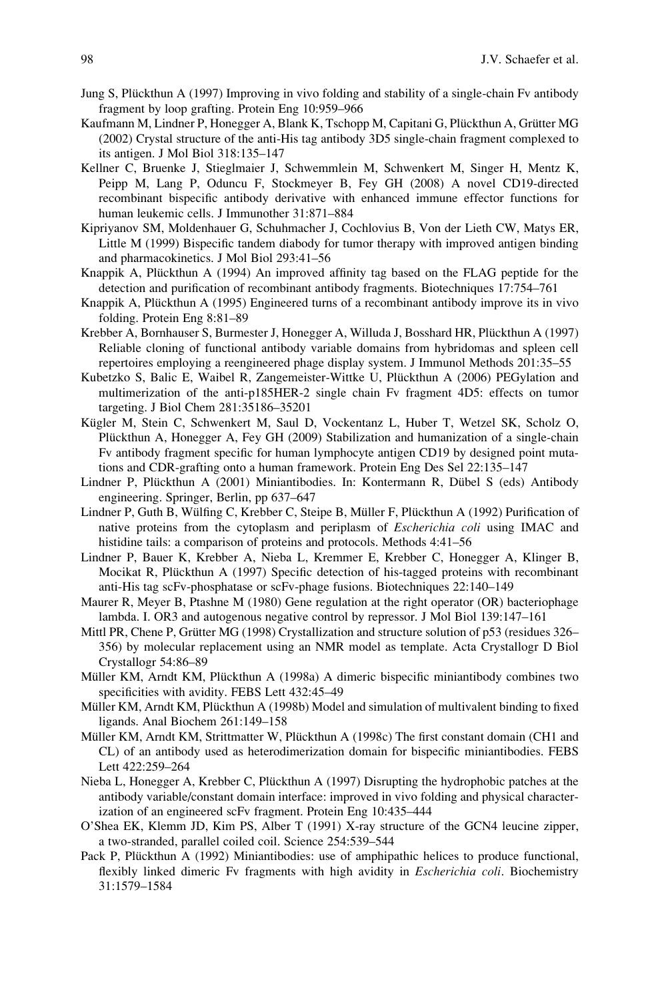- <span id="page-13-0"></span>Jung S, Plückthun A (1997) Improving in vivo folding and stability of a single-chain Fv antibody fragment by loop grafting. Protein Eng 10:959–966
- Kaufmann M, Lindner P, Honegger A, Blank K, Tschopp M, Capitani G, Plückthun A, Grütter MG (2002) Crystal structure of the anti-His tag antibody 3D5 single-chain fragment complexed to its antigen. J Mol Biol 318:135–147
- Kellner C, Bruenke J, Stieglmaier J, Schwemmlein M, Schwenkert M, Singer H, Mentz K, Peipp M, Lang P, Oduncu F, Stockmeyer B, Fey GH (2008) A novel CD19-directed recombinant bispecific antibody derivative with enhanced immune effector functions for human leukemic cells. J Immunother 31:871–884
- Kipriyanov SM, Moldenhauer G, Schuhmacher J, Cochlovius B, Von der Lieth CW, Matys ER, Little M (1999) Bispecific tandem diabody for tumor therapy with improved antigen binding and pharmacokinetics. J Mol Biol 293:41–56
- Knappik A, Plückthun A  $(1994)$  An improved affinity tag based on the FLAG peptide for the detection and purification of recombinant antibody fragments. Biotechniques 17:754–761
- Knappik A, Plückthun A (1995) Engineered turns of a recombinant antibody improve its in vivo folding. Protein Eng 8:81–89
- Krebber A, Bornhauser S, Burmester J, Honegger A, Willuda J, Bosshard HR, Plückthun A (1997) Reliable cloning of functional antibody variable domains from hybridomas and spleen cell repertoires employing a reengineered phage display system. J Immunol Methods 201:35–55
- Kubetzko S, Balic E, Waibel R, Zangemeister-Wittke U, Plückthun A (2006) PEGylation and multimerization of the anti-p185HER-2 single chain Fv fragment 4D5: effects on tumor targeting. J Biol Chem 281:35186–35201
- Kügler M, Stein C, Schwenkert M, Saul D, Vockentanz L, Huber T, Wetzel SK, Scholz O, Plückthun A, Honegger A, Fey GH (2009) Stabilization and humanization of a single-chain Fv antibody fragment specific for human lymphocyte antigen CD19 by designed point mutations and CDR-grafting onto a human framework. Protein Eng Des Sel 22:135–147
- Lindner P, Plückthun A (2001) Miniantibodies. In: Kontermann R, Dübel S (eds) Antibody engineering. Springer, Berlin, pp 637–647
- Lindner P, Guth B, Wülfing C, Krebber C, Steipe B, Müller F, Plückthun A (1992) Purification of native proteins from the cytoplasm and periplasm of *Escherichia coli* using IMAC and histidine tails: a comparison of proteins and protocols. Methods 4:41–56
- Lindner P, Bauer K, Krebber A, Nieba L, Kremmer E, Krebber C, Honegger A, Klinger B, Mocikat R, Plückthun A (1997) Specific detection of his-tagged proteins with recombinant anti-His tag scFv-phosphatase or scFv-phage fusions. Biotechniques 22:140–149
- Maurer R, Meyer B, Ptashne M (1980) Gene regulation at the right operator (OR) bacteriophage lambda. I. OR3 and autogenous negative control by repressor. J Mol Biol 139:147–161
- Mittl PR, Chene P, Grütter MG (1998) Crystallization and structure solution of p53 (residues 326– 356) by molecular replacement using an NMR model as template. Acta Crystallogr D Biol Crystallogr 54:86–89
- Müller KM, Arndt KM, Plückthun A (1998a) A dimeric bispecific miniantibody combines two specificities with avidity. FEBS Lett 432:45–49
- Müller KM, Arndt KM, Plückthun A (1998b) Model and simulation of multivalent binding to fixed ligands. Anal Biochem 261:149–158
- Müller KM, Arndt KM, Strittmatter W, Plückthun A (1998c) The first constant domain (CH1 and CL) of an antibody used as heterodimerization domain for bispecific miniantibodies. FEBS Lett 422:259–264
- Nieba L, Honegger A, Krebber C, Plückthun A (1997) Disrupting the hydrophobic patches at the antibody variable/constant domain interface: improved in vivo folding and physical characterization of an engineered scFv fragment. Protein Eng 10:435–444
- O'Shea EK, Klemm JD, Kim PS, Alber T (1991) X-ray structure of the GCN4 leucine zipper, a two-stranded, parallel coiled coil. Science 254:539–544
- Pack P, Plückthun A (1992) Miniantibodies: use of amphipathic helices to produce functional, flexibly linked dimeric Fv fragments with high avidity in *Escherichia coli*. Biochemistry 31:1579–1584